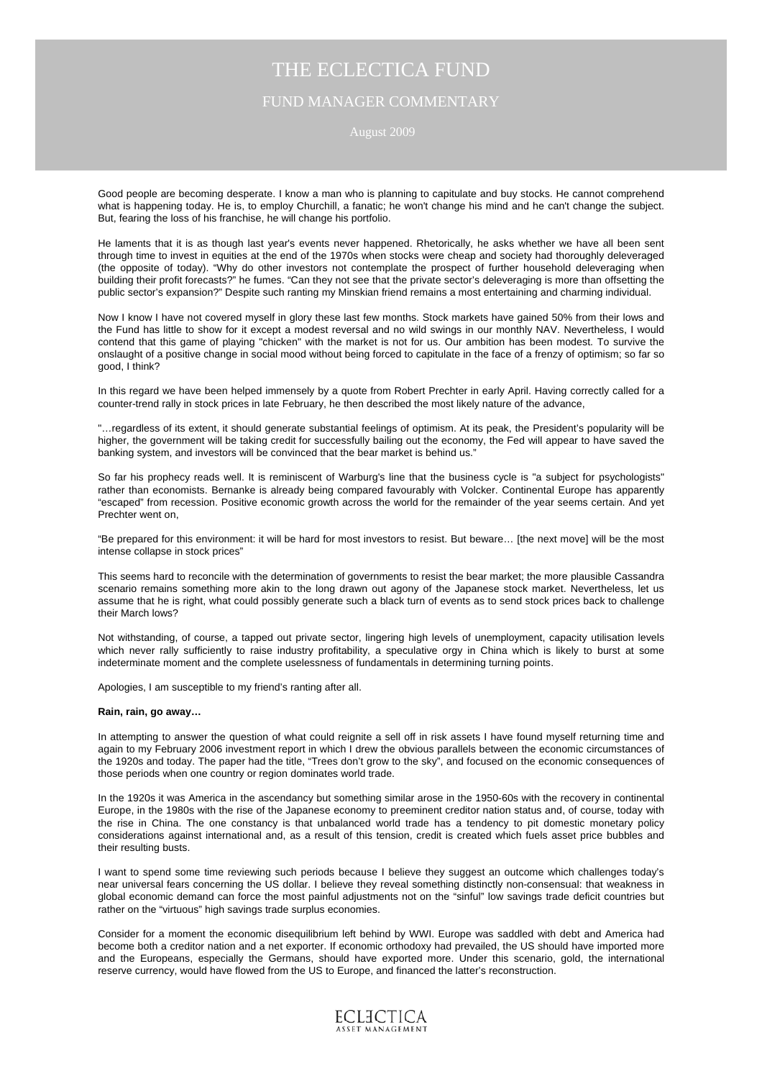## August 2009

Good people are becoming desperate. I know a man who is planning to capitulate and buy stocks. He cannot comprehend what is happening today. He is, to employ Churchill, a fanatic; he won't change his mind and he can't change the subject. But, fearing the loss of his franchise, he will change his portfolio.

He laments that it is as though last year's events never happened. Rhetorically, he asks whether we have all been sent through time to invest in equities at the end of the 1970s when stocks were cheap and society had thoroughly deleveraged (the opposite of today). "Why do other investors not contemplate the prospect of further household deleveraging when building their profit forecasts?" he fumes. "Can they not see that the private sector's deleveraging is more than offsetting the public sector's expansion?" Despite such ranting my Minskian friend remains a most entertaining and charming individual.

Now I know I have not covered myself in glory these last few months. Stock markets have gained 50% from their lows and the Fund has little to show for it except a modest reversal and no wild swings in our monthly NAV. Nevertheless, I would contend that this game of playing "chicken" with the market is not for us. Our ambition has been modest. To survive the onslaught of a positive change in social mood without being forced to capitulate in the face of a frenzy of optimism; so far so good, I think?

In this regard we have been helped immensely by a quote from Robert Prechter in early April. Having correctly called for a counter-trend rally in stock prices in late February, he then described the most likely nature of the advance,

"…regardless of its extent, it should generate substantial feelings of optimism. At its peak, the President's popularity will be higher, the government will be taking credit for successfully bailing out the economy, the Fed will appear to have saved the banking system, and investors will be convinced that the bear market is behind us."

So far his prophecy reads well. It is reminiscent of Warburg's line that the business cycle is "a subject for psychologists" rather than economists. Bernanke is already being compared favourably with Volcker. Continental Europe has apparently "escaped" from recession. Positive economic growth across the world for the remainder of the year seems certain. And yet Prechter went on,

"Be prepared for this environment: it will be hard for most investors to resist. But beware… [the next move] will be the most intense collapse in stock prices"

This seems hard to reconcile with the determination of governments to resist the bear market; the more plausible Cassandra scenario remains something more akin to the long drawn out agony of the Japanese stock market. Nevertheless, let us assume that he is right, what could possibly generate such a black turn of events as to send stock prices back to challenge their March lows?

Not withstanding, of course, a tapped out private sector, lingering high levels of unemployment, capacity utilisation levels which never rally sufficiently to raise industry profitability, a speculative orgy in China which is likely to burst at some indeterminate moment and the complete uselessness of fundamentals in determining turning points.

Apologies, I am susceptible to my friend's ranting after all.

### **Rain, rain, go away…**

In attempting to answer the question of what could reignite a sell off in risk assets I have found myself returning time and again to my February 2006 investment report in which I drew the obvious parallels between the economic circumstances of the 1920s and today. The paper had the title, "Trees don't grow to the sky", and focused on the economic consequences of those periods when one country or region dominates world trade.

In the 1920s it was America in the ascendancy but something similar arose in the 1950-60s with the recovery in continental Europe, in the 1980s with the rise of the Japanese economy to preeminent creditor nation status and, of course, today with the rise in China. The one constancy is that unbalanced world trade has a tendency to pit domestic monetary policy considerations against international and, as a result of this tension, credit is created which fuels asset price bubbles and their resulting busts.

I want to spend some time reviewing such periods because I believe they suggest an outcome which challenges today's near universal fears concerning the US dollar. I believe they reveal something distinctly non-consensual: that weakness in global economic demand can force the most painful adjustments not on the "sinful" low savings trade deficit countries but rather on the "virtuous" high savings trade surplus economies.

Consider for a moment the economic disequilibrium left behind by WWI. Europe was saddled with debt and America had become both a creditor nation and a net exporter. If economic orthodoxy had prevailed, the US should have imported more and the Europeans, especially the Germans, should have exported more. Under this scenario, gold, the international reserve currency, would have flowed from the US to Europe, and financed the latter's reconstruction.

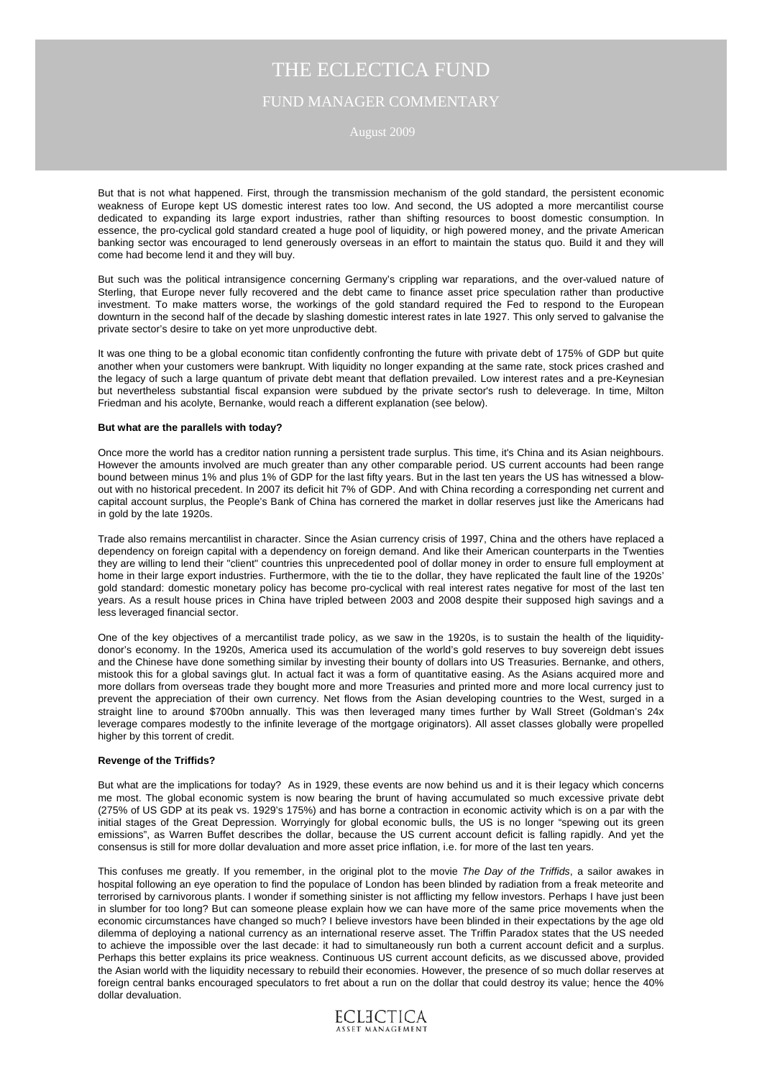August 2009

But that is not what happened. First, through the transmission mechanism of the gold standard, the persistent economic weakness of Europe kept US domestic interest rates too low. And second, the US adopted a more mercantilist course dedicated to expanding its large export industries, rather than shifting resources to boost domestic consumption. In essence, the pro-cyclical gold standard created a huge pool of liquidity, or high powered money, and the private American banking sector was encouraged to lend generously overseas in an effort to maintain the status quo. Build it and they will come had become lend it and they will buy.

But such was the political intransigence concerning Germany's crippling war reparations, and the over-valued nature of Sterling, that Europe never fully recovered and the debt came to finance asset price speculation rather than productive investment. To make matters worse, the workings of the gold standard required the Fed to respond to the European downturn in the second half of the decade by slashing domestic interest rates in late 1927. This only served to galvanise the private sector's desire to take on yet more unproductive debt.

It was one thing to be a global economic titan confidently confronting the future with private debt of 175% of GDP but quite another when your customers were bankrupt. With liquidity no longer expanding at the same rate, stock prices crashed and the legacy of such a large quantum of private debt meant that deflation prevailed. Low interest rates and a pre-Keynesian but nevertheless substantial fiscal expansion were subdued by the private sector's rush to deleverage. In time, Milton Friedman and his acolyte, Bernanke, would reach a different explanation (see below).

#### **But what are the parallels with today?**

Once more the world has a creditor nation running a persistent trade surplus. This time, it's China and its Asian neighbours. However the amounts involved are much greater than any other comparable period. US current accounts had been range bound between minus 1% and plus 1% of GDP for the last fifty years. But in the last ten years the US has witnessed a blowout with no historical precedent. In 2007 its deficit hit 7% of GDP. And with China recording a corresponding net current and capital account surplus, the People's Bank of China has cornered the market in dollar reserves just like the Americans had in gold by the late 1920s.

Trade also remains mercantilist in character. Since the Asian currency crisis of 1997, China and the others have replaced a dependency on foreign capital with a dependency on foreign demand. And like their American counterparts in the Twenties they are willing to lend their "client" countries this unprecedented pool of dollar money in order to ensure full employment at home in their large export industries. Furthermore, with the tie to the dollar, they have replicated the fault line of the 1920s' gold standard: domestic monetary policy has become pro-cyclical with real interest rates negative for most of the last ten years. As a result house prices in China have tripled between 2003 and 2008 despite their supposed high savings and a less leveraged financial sector.

One of the key objectives of a mercantilist trade policy, as we saw in the 1920s, is to sustain the health of the liquiditydonor's economy. In the 1920s, America used its accumulation of the world's gold reserves to buy sovereign debt issues and the Chinese have done something similar by investing their bounty of dollars into US Treasuries. Bernanke, and others, mistook this for a global savings glut. In actual fact it was a form of quantitative easing. As the Asians acquired more and more dollars from overseas trade they bought more and more Treasuries and printed more and more local currency just to prevent the appreciation of their own currency. Net flows from the Asian developing countries to the West, surged in a straight line to around \$700bn annually. This was then leveraged many times further by Wall Street (Goldman's 24x leverage compares modestly to the infinite leverage of the mortgage originators). All asset classes globally were propelled higher by this torrent of credit.

### **Revenge of the Triffids?**

But what are the implications for today? As in 1929, these events are now behind us and it is their legacy which concerns me most. The global economic system is now bearing the brunt of having accumulated so much excessive private debt (275% of US GDP at its peak vs. 1929's 175%) and has borne a contraction in economic activity which is on a par with the initial stages of the Great Depression. Worryingly for global economic bulls, the US is no longer "spewing out its green emissions", as Warren Buffet describes the dollar, because the US current account deficit is falling rapidly. And yet the consensus is still for more dollar devaluation and more asset price inflation, i.e. for more of the last ten years.

This confuses me greatly. If you remember, in the original plot to the movie *The Day of the Triffids*, a sailor awakes in hospital following an eye operation to find the populace of London has been blinded by radiation from a freak meteorite and terrorised by carnivorous plants. I wonder if something sinister is not afflicting my fellow investors. Perhaps I have just been in slumber for too long? But can someone please explain how we can have more of the same price movements when the economic circumstances have changed so much? I believe investors have been blinded in their expectations by the age old dilemma of deploying a national currency as an international reserve asset. The Triffin Paradox states that the US needed to achieve the impossible over the last decade: it had to simultaneously run both a current account deficit and a surplus. Perhaps this better explains its price weakness. Continuous US current account deficits, as we discussed above, provided the Asian world with the liquidity necessary to rebuild their economies. However, the presence of so much dollar reserves at foreign central banks encouraged speculators to fret about a run on the dollar that could destroy its value; hence the 40% dollar devaluation.

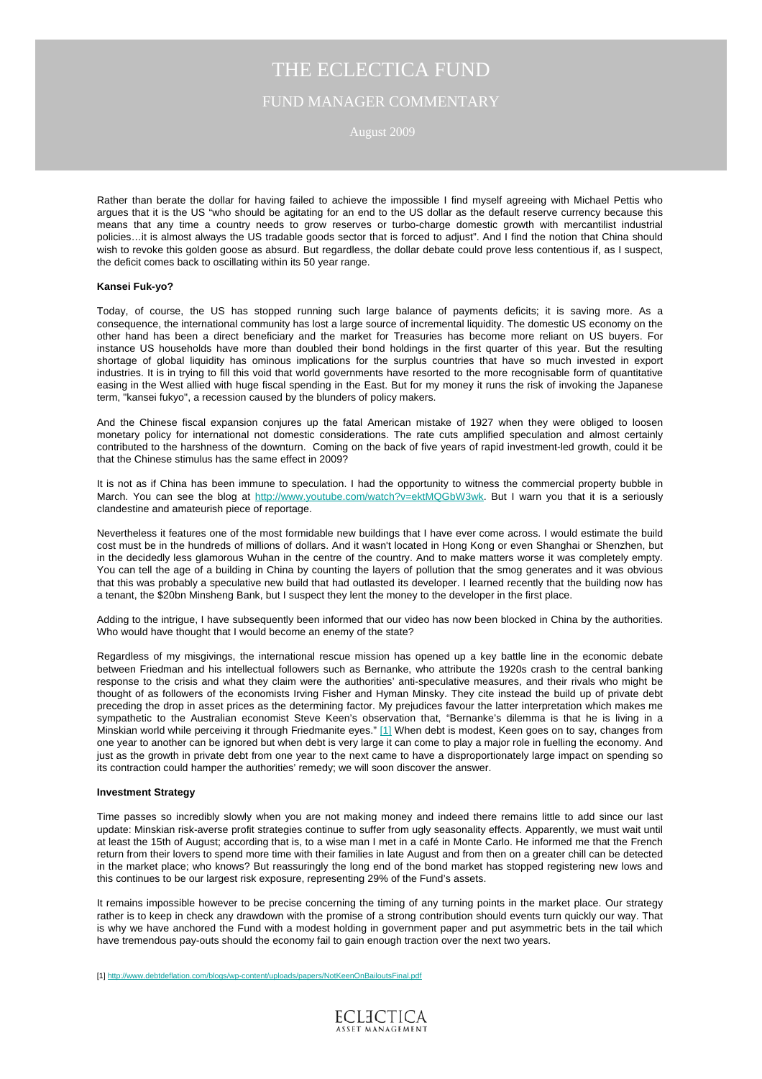## August 2009

Rather than berate the dollar for having failed to achieve the impossible I find myself agreeing with Michael Pettis who argues that it is the US "who should be agitating for an end to the US dollar as the default reserve currency because this means that any time a country needs to grow reserves or turbo-charge domestic growth with mercantilist industrial policies…it is almost always the US tradable goods sector that is forced to adjust". And I find the notion that China should wish to revoke this golden goose as absurd. But regardless, the dollar debate could prove less contentious if, as I suspect, the deficit comes back to oscillating within its 50 year range.

#### **Kansei Fuk-yo?**

Today, of course, the US has stopped running such large balance of payments deficits; it is saving more. As a consequence, the international community has lost a large source of incremental liquidity. The domestic US economy on the other hand has been a direct beneficiary and the market for Treasuries has become more reliant on US buyers. For instance US households have more than doubled their bond holdings in the first quarter of this year. But the resulting shortage of global liquidity has ominous implications for the surplus countries that have so much invested in export industries. It is in trying to fill this void that world governments have resorted to the more recognisable form of quantitative easing in the West allied with huge fiscal spending in the East. But for my money it runs the risk of invoking the Japanese term, "kansei fukyo", a recession caused by the blunders of policy makers.

And the Chinese fiscal expansion conjures up the fatal American mistake of 1927 when they were obliged to loosen monetary policy for international not domestic considerations. The rate cuts amplified speculation and almost certainly contributed to the harshness of the downturn. Coming on the back of five years of rapid investment-led growth, could it be that the Chinese stimulus has the same effect in 2009?

It is not as if China has been immune to speculation. I had the opportunity to witness the commercial property bubble in March. You can see the blog at <http://www.youtube.com/watch?v=ektMQGbW3wk>. But I warn you that it is a seriously clandestine and amateurish piece of reportage.

Nevertheless it features one of the most formidable new buildings that I have ever come across. I would estimate the build cost must be in the hundreds of millions of dollars. And it wasn't located in Hong Kong or even Shanghai or Shenzhen, but in the decidedly less glamorous Wuhan in the centre of the country. And to make matters worse it was completely empty. You can tell the age of a building in China by counting the layers of pollution that the smog generates and it was obvious that this was probably a speculative new build that had outlasted its developer. I learned recently that the building now has a tenant, the \$20bn Minsheng Bank, but I suspect they lent the money to the developer in the first place.

Adding to the intrigue, I have subsequently been informed that our video has now been blocked in China by the authorities. Who would have thought that I would become an enemy of the state?

Regardless of my misgivings, the international rescue mission has opened up a key battle line in the economic debate between Friedman and his intellectual followers such as Bernanke, who attribute the 1920s crash to the central banking response to the crisis and what they claim were the authorities' anti-speculative measures, and their rivals who might be thought of as followers of the economists Irving Fisher and Hyman Minsky. They cite instead the build up of private debt preceding the drop in asset prices as the determining factor. My prejudices favour the latter interpretation which makes me sympathetic to the Australian economist Steve Keen's observation that, "Bernanke's dilemma is that he is living in a Minskian world while perceiving it through Friedmanite eyes." [\[1\] W](#page-3-0)hen debt is modest, Keen goes on to say, changes from one year to another can be ignored but when debt is very large it can come to play a major role in fuelling the economy. And just as the growth in private debt from one year to the next came to have a disproportionately large impact on spending so its contraction could hamper the authorities' remedy; we will soon discover the answer.

#### **Investment Strategy**

Time passes so incredibly slowly when you are not making money and indeed there remains little to add since our last update: Minskian risk-averse profit strategies continue to suffer from ugly seasonality effects. Apparently, we must wait until at least the 15th of August; according that is, to a wise man I met in a café in Monte Carlo. He informed me that the French return from their lovers to spend more time with their families in late August and from then on a greater chill can be detected in the market place; who knows? But reassuringly the long end of the bond market has stopped registering new lows and this continues to be our largest risk exposure, representing 29% of the Fund's assets.

It remains impossible however to be precise concerning the timing of any turning points in the market place. Our strategy rather is to keep in check any drawdown with the promise of a strong contribution should events turn quickly our way. That is why we have anchored the Fund with a modest holding in government paper and put asymmetric bets in the tail which have tremendous pay-outs should the economy fail to gain enough traction over the next two years.

[1] <http://www.debtdeflation.com/blogs/wp-content/uploads/papers/NotKeenOnBailoutsFinal.pdf>